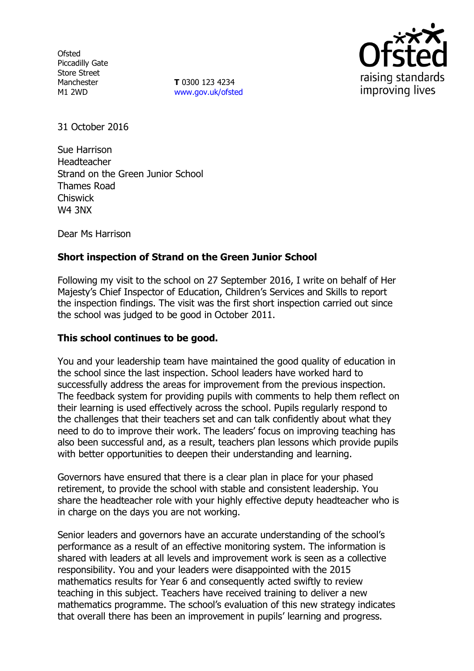**Ofsted** Piccadilly Gate Store Street Manchester M1 2WD

**T** 0300 123 4234 [www.gov.uk/ofsted](http://www.gov.uk/ofsted)



31 October 2016

Sue Harrison Headteacher Strand on the Green Junior School Thames Road **Chiswick** W4 3NX

Dear Ms Harrison

# **Short inspection of Strand on the Green Junior School**

Following my visit to the school on 27 September 2016, I write on behalf of Her Majesty's Chief Inspector of Education, Children's Services and Skills to report the inspection findings. The visit was the first short inspection carried out since the school was judged to be good in October 2011.

#### **This school continues to be good.**

You and your leadership team have maintained the good quality of education in the school since the last inspection. School leaders have worked hard to successfully address the areas for improvement from the previous inspection. The feedback system for providing pupils with comments to help them reflect on their learning is used effectively across the school. Pupils regularly respond to the challenges that their teachers set and can talk confidently about what they need to do to improve their work. The leaders' focus on improving teaching has also been successful and, as a result, teachers plan lessons which provide pupils with better opportunities to deepen their understanding and learning.

Governors have ensured that there is a clear plan in place for your phased retirement, to provide the school with stable and consistent leadership. You share the headteacher role with your highly effective deputy headteacher who is in charge on the days you are not working.

Senior leaders and governors have an accurate understanding of the school's performance as a result of an effective monitoring system. The information is shared with leaders at all levels and improvement work is seen as a collective responsibility. You and your leaders were disappointed with the 2015 mathematics results for Year 6 and consequently acted swiftly to review teaching in this subject. Teachers have received training to deliver a new mathematics programme. The school's evaluation of this new strategy indicates that overall there has been an improvement in pupils' learning and progress.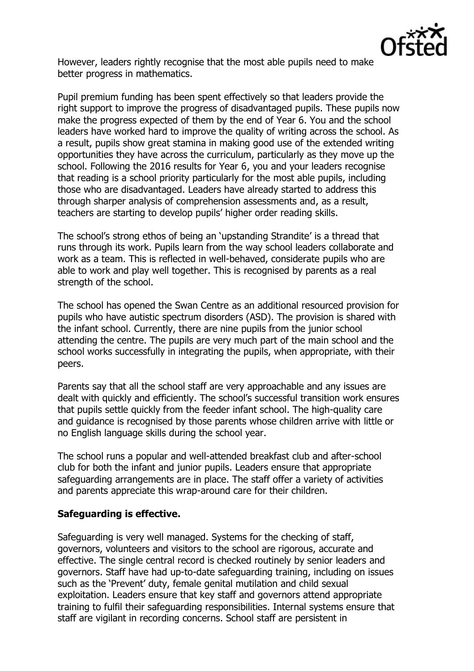

However, leaders rightly recognise that the most able pupils need to make better progress in mathematics.

Pupil premium funding has been spent effectively so that leaders provide the right support to improve the progress of disadvantaged pupils. These pupils now make the progress expected of them by the end of Year 6. You and the school leaders have worked hard to improve the quality of writing across the school. As a result, pupils show great stamina in making good use of the extended writing opportunities they have across the curriculum, particularly as they move up the school. Following the 2016 results for Year 6, you and your leaders recognise that reading is a school priority particularly for the most able pupils, including those who are disadvantaged. Leaders have already started to address this through sharper analysis of comprehension assessments and, as a result, teachers are starting to develop pupils' higher order reading skills.

The school's strong ethos of being an 'upstanding Strandite' is a thread that runs through its work. Pupils learn from the way school leaders collaborate and work as a team. This is reflected in well-behaved, considerate pupils who are able to work and play well together. This is recognised by parents as a real strength of the school.

The school has opened the Swan Centre as an additional resourced provision for pupils who have autistic spectrum disorders (ASD). The provision is shared with the infant school. Currently, there are nine pupils from the junior school attending the centre. The pupils are very much part of the main school and the school works successfully in integrating the pupils, when appropriate, with their peers.

Parents say that all the school staff are very approachable and any issues are dealt with quickly and efficiently. The school's successful transition work ensures that pupils settle quickly from the feeder infant school. The high-quality care and guidance is recognised by those parents whose children arrive with little or no English language skills during the school year.

The school runs a popular and well-attended breakfast club and after-school club for both the infant and junior pupils. Leaders ensure that appropriate safeguarding arrangements are in place. The staff offer a variety of activities and parents appreciate this wrap-around care for their children.

### **Safeguarding is effective.**

Safeguarding is very well managed. Systems for the checking of staff, governors, volunteers and visitors to the school are rigorous, accurate and effective. The single central record is checked routinely by senior leaders and governors. Staff have had up-to-date safeguarding training, including on issues such as the 'Prevent' duty, female genital mutilation and child sexual exploitation. Leaders ensure that key staff and governors attend appropriate training to fulfil their safeguarding responsibilities. Internal systems ensure that staff are vigilant in recording concerns. School staff are persistent in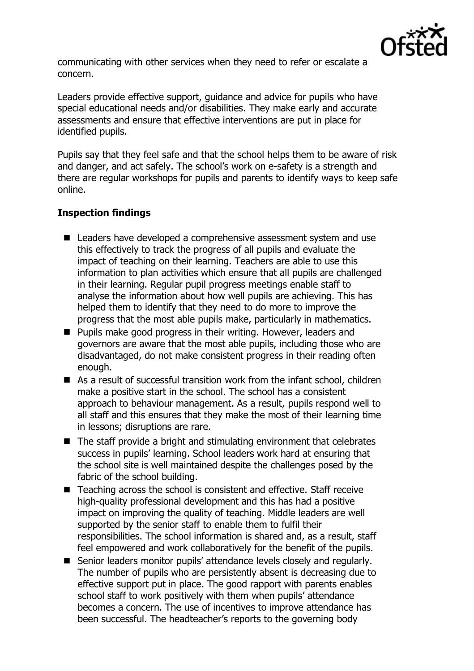

communicating with other services when they need to refer or escalate a concern.

Leaders provide effective support, guidance and advice for pupils who have special educational needs and/or disabilities. They make early and accurate assessments and ensure that effective interventions are put in place for identified pupils.

Pupils say that they feel safe and that the school helps them to be aware of risk and danger, and act safely. The school's work on e-safety is a strength and there are regular workshops for pupils and parents to identify ways to keep safe online.

## **Inspection findings**

- Leaders have developed a comprehensive assessment system and use this effectively to track the progress of all pupils and evaluate the impact of teaching on their learning. Teachers are able to use this information to plan activities which ensure that all pupils are challenged in their learning. Regular pupil progress meetings enable staff to analyse the information about how well pupils are achieving. This has helped them to identify that they need to do more to improve the progress that the most able pupils make, particularly in mathematics.
- **Pupils make good progress in their writing. However, leaders and** governors are aware that the most able pupils, including those who are disadvantaged, do not make consistent progress in their reading often enough.
- As a result of successful transition work from the infant school, children make a positive start in the school. The school has a consistent approach to behaviour management. As a result, pupils respond well to all staff and this ensures that they make the most of their learning time in lessons; disruptions are rare.
- $\blacksquare$  The staff provide a bright and stimulating environment that celebrates success in pupils' learning. School leaders work hard at ensuring that the school site is well maintained despite the challenges posed by the fabric of the school building.
- Teaching across the school is consistent and effective. Staff receive high-quality professional development and this has had a positive impact on improving the quality of teaching. Middle leaders are well supported by the senior staff to enable them to fulfil their responsibilities. The school information is shared and, as a result, staff feel empowered and work collaboratively for the benefit of the pupils.
- Senior leaders monitor pupils' attendance levels closely and regularly. The number of pupils who are persistently absent is decreasing due to effective support put in place. The good rapport with parents enables school staff to work positively with them when pupils' attendance becomes a concern. The use of incentives to improve attendance has been successful. The headteacher's reports to the governing body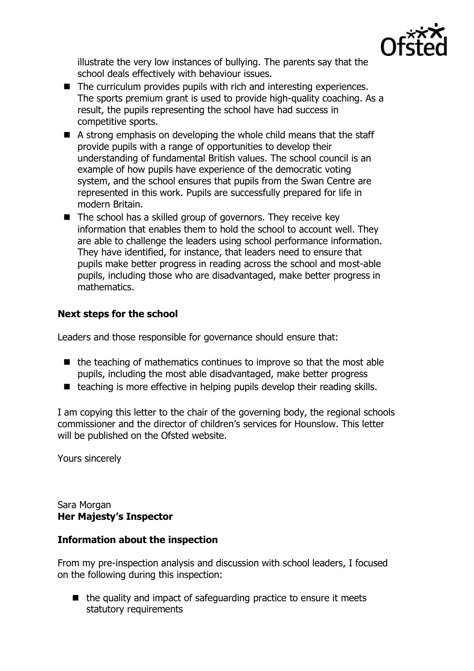

illustrate the very low instances of bullying. The parents say that the school deals effectively with behaviour issues.

- $\blacksquare$  The curriculum provides pupils with rich and interesting experiences. The sports premium grant is used to provide high-quality coaching. As a result, the pupils representing the school have had success in competitive sports.
- $\blacksquare$  A strong emphasis on developing the whole child means that the staff provide pupils with a range of opportunities to develop their understanding of fundamental British values. The school council is an example of how pupils have experience of the democratic voting system, and the school ensures that pupils from the Swan Centre are represented in this work. Pupils are successfully prepared for life in modern Britain.
- $\blacksquare$  The school has a skilled group of governors. They receive key information that enables them to hold the school to account well. They are able to challenge the leaders using school performance information. They have identified, for instance, that leaders need to ensure that pupils make better progress in reading across the school and most-able pupils, including those who are disadvantaged, make better progress in mathematics.

# **Next steps for the school**

Leaders and those responsible for governance should ensure that:

- $\blacksquare$  the teaching of mathematics continues to improve so that the most able pupils, including the most able disadvantaged, make better progress
- $\blacksquare$  teaching is more effective in helping pupils develop their reading skills.

I am copying this letter to the chair of the governing body, the regional schools commissioner and the director of children's services for Hounslow. This letter will be published on the Ofsted website.

Yours sincerely

Sara Morgan **Her Majesty's Inspector**

### **Information about the inspection**

From my pre-inspection analysis and discussion with school leaders, I focused on the following during this inspection:

 $\blacksquare$  the quality and impact of safeguarding practice to ensure it meets statutory requirements